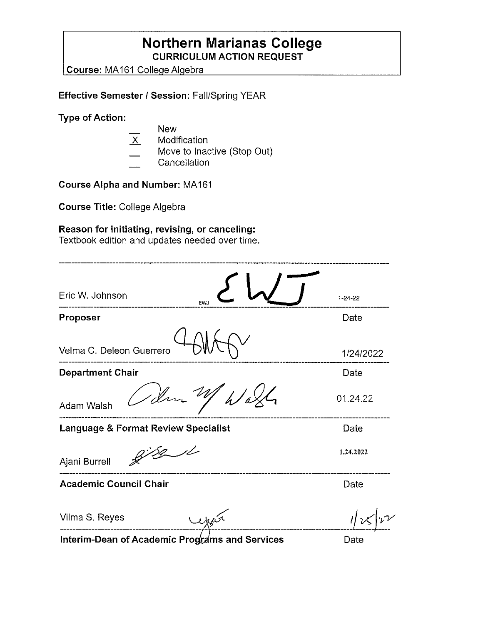### **Northern Marianas College CURRICULUM ACTION REQUEST**

**Course:** MA 161 Colleae Alaebra

**Effective Semester/ Session:** Fall/Spring YEAR

**Type of Action:** 

**New** X Modification Move to Inactive (Stop Out) **Cancellation** 

**Course Alpha and Number:** MA 161

**Course Title:** College Algebra

### **Reason for initiating, revising, or canceling:**

Textbook edition and updates needed over time.

| Eric W. Johnson<br><b>EWJ</b>       | $1 - 24 - 22$ |
|-------------------------------------|---------------|
| Proposer                            | Date          |
| Velma C. Deleon Guerrero            | 1/24/2022     |
| <b>Department Chair</b>             | Date          |
| / Im<br>$\mathscr{L}$<br>Adam Walsh | 01.24.22      |
| Language & Format Review Specialist | Date          |
| Ajani Burrell                       | 1.24.2022     |
| <b>Academic Council Chair</b>       | Date          |
| Vilma S. Reyes<br>year              |               |
|                                     | $F = 1$       |

**Interim-Dean of Academic Programs and Services** 

Date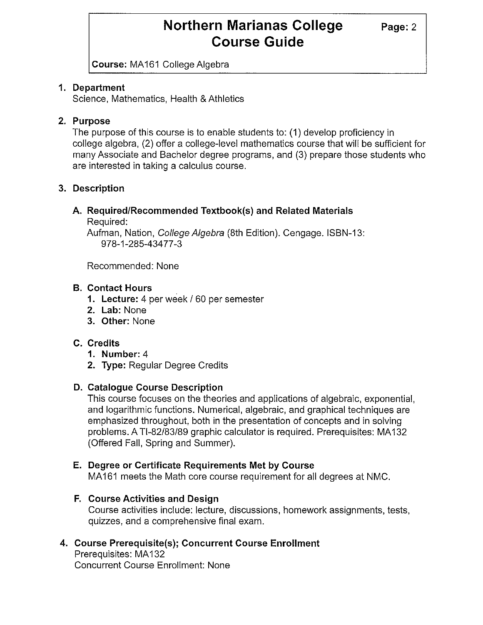# **Northern Marianas College** Page: 2 **Course Guide**

**Course:** MA161 College Algebra

### **1. Department**

Science, Mathematics, Health & Athletics

### **2. Purpose**

The purpose of this course is to enable students to: (1) develop proficiency in college algebra, (2) offer a college-level mathematics course that will be sufficient for many Associate and Bachelor degree programs, and (3) prepare those students who are interested in taking a calculus course.

### **3. Description**

## **A. Required/Recommended Textbook(s) and Related Materials**

Required:

Aufman, Nation, College Algebra (8th Edition). Cengage. ISBN-13: 978-1-285-434 77-3

Recommended: None

#### **B. Contact Hours**

- **1. Lecture:** 4 per week/ 60 per semester
- **2. Lab:** None
- **3. Other:** None

### **C. Credits**

- **1. Number:** 4
- **2. Type:** Regular Degree Credits

#### **D. Catalogue Course Description**

This course focuses on the theories and applications of algebraic, exponential, and logarithmic functions. Numerical, algebraic, and graphical techniques are emphasized throughout, both in the presentation of concepts and in solving problems. A Tl-82/83/89 graphic calculator is required. Prerequisites: MA 132 (Offered Fall, Spring and Summer).

### **E. Degree or Certificate Requirements Met by Course**

MA161 meets the Math core course requirement for all degrees at NMC.

### **F. Course Activities and Design**

Course activities include: lecture, discussions, homework assignments, tests, quizzes, and a comprehensive final exam.

### **4. Course Prerequisite(s); Concurrent Course Enrollment**

Prerequisites: MA 132 Concurrent Course Enrollment: None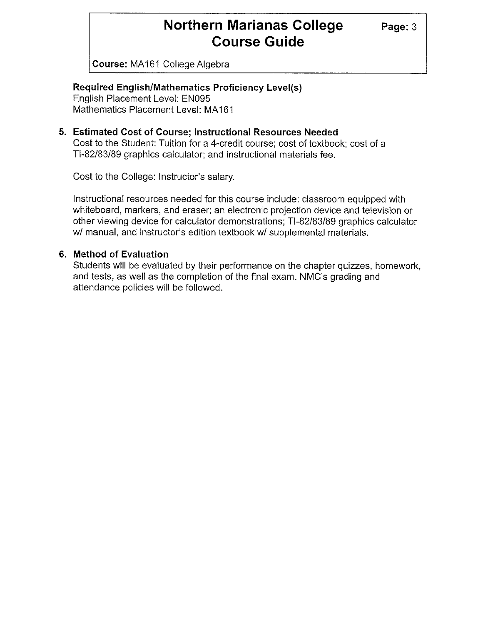# **Northern Marianas College** Page: 3 **Course Guide**

**Course:** MA161 College Algebra

#### **Required English/Mathematics Proficiency Level(s)**

English Placement Level: EN095 Mathematics Placement Level: MA 161

#### **5. Estimated Cost of Course; Instructional Resources Needed**

Cost to the Student: Tuition for a 4-credit course; cost of textbook; cost of a Tl-82/83/89 graphics calculator; and instructional materials fee.

Cost to the College: Instructor's salary.

Instructional resources needed for this course include: classroom equipped with whiteboard, markers, and eraser; an electronic projection device and television or other viewing device for calculator demonstrations; Tl-82/83/89 graphics calculator w/ manual, and instructor's edition textbook w/ supplemental materials.

#### **6. Method of Evaluation**

Students will be evaluated by their performance on the chapter quizzes, homework, and tests, as well as the completion of the final exam. NMC's grading and attendance policies will be followed.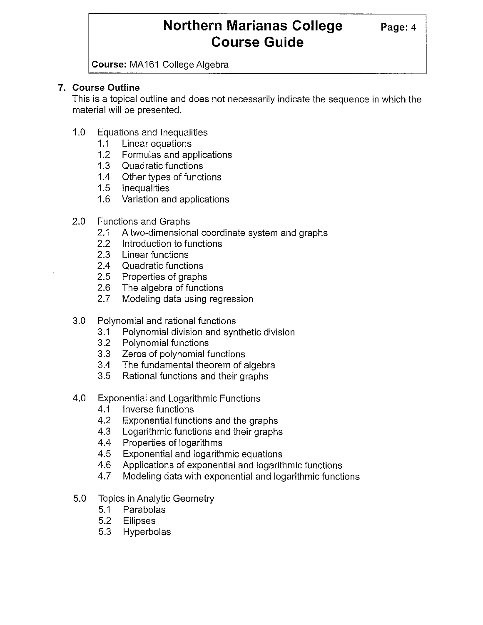# **Northern Marianas College** Page: 4 **Course Guide**

**Course: MA161 College Algebra** 

### **7. Course Outline**

This is a topical outline and does not necessarily indicate the sequence in which the material will be presented.

- 1.0 Equations and Inequalities
	- 1.1 Linear equations
	- 1.2 Formulas and applications
	- 1.3 Quadratic functions
	- 1.4 Other types of functions
	- 1.5 Inequalities
	- 1.6 Variation and applications
- 2.0 Functions and Graphs
	- 2.1 A two-dimensional coordinate system and graphs
	- 2.2 Introduction to functions
	- 2.3 Linear functions
	- 2.4 Quadratic functions
	- 2.5 Properties of graphs
	- 2.6 The algebra of functions
	- 2.7 Modeling data using regression
- 3.0 Polynomial and rational functions
	- 3.1 Polynomial division and synthetic division
	- 3.2 Polynomial functions
	- 3.3 Zeros of polynomial functions
	- 3.4 The fundamental theorem of algebra
	- 3.5 Rational functions and their graphs
- 4.0 Exponential and Logarithmic Functions
	- 4.1 Inverse functions
	- 4.2 Exponential functions and the graphs
	- 4.3 Logarithmic functions and their graphs
	- 4.4 Properties of logarithms
	- 4.5 Exponential and logarithmic equations
	- 4.6 Applications of exponential and logarithmic functions
	- 4.7 Modeling data with exponential and logarithmic functions
- 5.0 Topics in Analytic Geometry
	- 5.1 Parabolas
	- 5.2 Ellipses
	- 5.3 Hyperbolas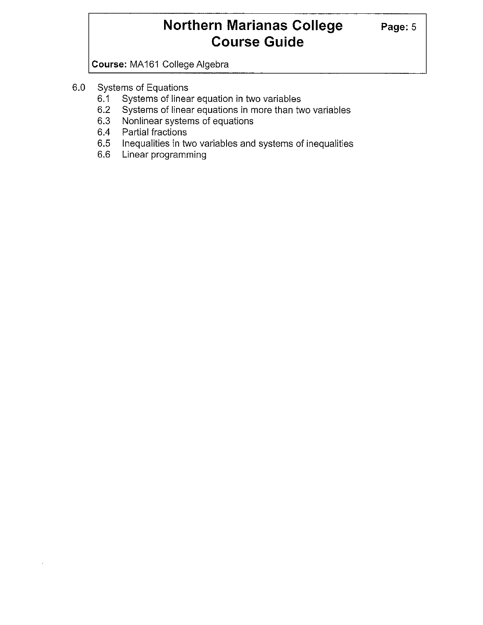# **Northern Marianas College** Page: 5 **Course Guide**

**Course:** MA 161 College Algebra

- 6.0 Systems of Equations
	- Systems of linear equation in two variables
	- 6.2 Systems of linear equations in more than two variables
	- 6.3 Nonlinear systems of equations
	- 6.4 Partial fractions
	- 6.5 Inequalities in two variables and systems of inequalities 6.6 Linear programming
	- Linear programming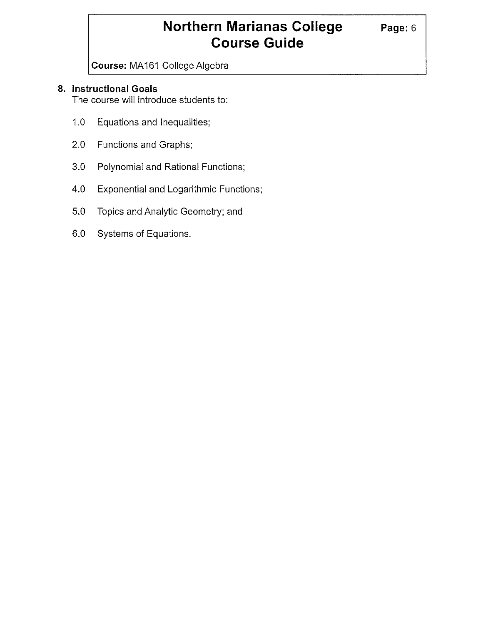# **Northern Marianas College** Page: 6 **Course Guide**

**Course:** MA 161 College Algebra

### **8. Instructional Goals**

The course will introduce students to:

- 1.0 Equations and Inequalities;
- 2.0 Functions and Graphs;
- 3.0 Polynomial and Rational Functions;
- 4.0 Exponential and Logarithmic Functions;
- 5.0 Topics and Analytic Geometry; and
- 6.0 Systems of Equations.